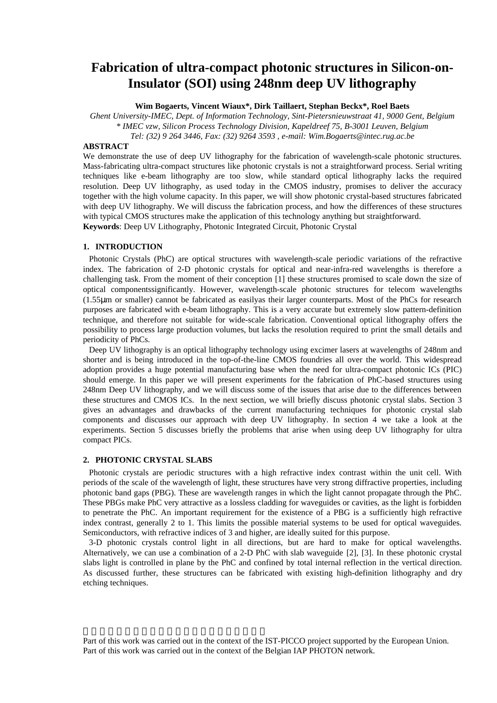# **Fabrication of ultra-compact photonic structures in Silicon-on-Insulator (SOI) using 248nm deep UV lithography**

**Wim Bogaerts, Vincent Wiaux\*, Dirk Taillaert, Stephan Beckx\*, Roel Baets**

*Ghent University-IMEC, Dept. of Information Technology, Sint-Pietersnieuwstraat 41, 9000 Gent, Belgium \* IMEC vzw, Silicon Process Technology Division, Kapeldreef 75, B-3001 Leuven, Belgium Tel: (32) 9 264 3446, Fax: (32) 9264 3593 , e-mail: Wim.Bogaerts@intec.rug.ac.be*

## **ABSTRACT**

We demonstrate the use of deep UV lithography for the fabrication of wavelength-scale photonic structures. Mass-fabricating ultra-compact structures like photonic crystals is not a straightforward process. Serial writing techniques like e-beam lithography are too slow, while standard optical lithography lacks the required resolution. Deep UV lithography, as used today in the CMOS industry, promises to deliver the accuracy together with the high volume capacity. In this paper, we will show photonic crystal-based structures fabricated with deep UV lithography. We will discuss the fabrication process, and how the differences of these structures with typical CMOS structures make the application of this technology anything but straightforward. **Keywords**: Deep UV Lithography, Photonic Integrated Circuit, Photonic Crystal

## **1. INTRODUCTION**

Photonic Crystals (PhC) are optical structures with wavelength-scale periodic variations of the refractive index. The fabrication of 2-D photonic crystals for optical and near-infra-red wavelengths is therefore a challenging task. From the moment of their conception [1] these structures promised to scale down the size of optical componentssignificantly. However, wavelength-scale photonic structures for telecom wavelengths (1.55μm or smaller) cannot be fabricated as easilyas their larger counterparts. Most of the PhCs for research purposes are fabricated with e-beam lithography. This is a very accurate but extremely slow pattern-definition technique, and therefore not suitable for wide-scale fabrication. Conventional optical lithography offers the possibility to process large production volumes, but lacks the resolution required to print the small details and periodicity of PhCs.

Deep UV lithography is an optical lithography technology using excimer lasers at wavelengths of 248nm and shorter and is being introduced in the top-of-the-line CMOS foundries all over the world. This widespread adoption provides a huge potential manufacturing base when the need for ultra-compact photonic ICs (PIC) should emerge. In this paper we will present experiments for the fabrication of PhC-based structures using 248nm Deep UV lithography, and we will discuss some of the issues that arise due to the differences between these structures and CMOS ICs. In the next section, we will briefly discuss photonic crystal slabs. Section 3 gives an advantages and drawbacks of the current manufacturing techniques for photonic crystal slab components and discusses our approach with deep UV lithography. In section 4 we take a look at the experiments. Section 5 discusses briefly the problems that arise when using deep UV lithography for ultra compact PICs.

## **2. PHOTONIC CRYSTAL SLABS**

Photonic crystals are periodic structures with a high refractive index contrast within the unit cell. With periods of the scale of the wavelength of light, these structures have very strong diffractive properties, including photonic band gaps (PBG). These are wavelength ranges in which the light cannot propagate through the PhC. These PBGs make PhC very attractive as a lossless cladding for waveguides or cavities, as the light is forbidden to penetrate the PhC. An important requirement for the existence of a PBG is a sufficiently high refractive index contrast, generally 2 to 1. This limits the possible material systems to be used for optical waveguides. Semiconductors, with refractive indices of 3 and higher, are ideally suited for this purpose.

3-D photonic crystals control light in all directions, but are hard to make for optical wavelengths. Alternatively, we can use a combination of a 2-D PhC with slab waveguide [2], [3]. In these photonic crystal slabs light is controlled in plane by the PhC and confined by total internal reflection in the vertical direction. As discussed further, these structures can be fabricated with existing high-definition lithography and dry etching techniques.

Part of this work was carried out in the context of the IST-PICCO project supported by the European Union. Part of this work was carried out in the context of the Belgian IAP PHOTON network.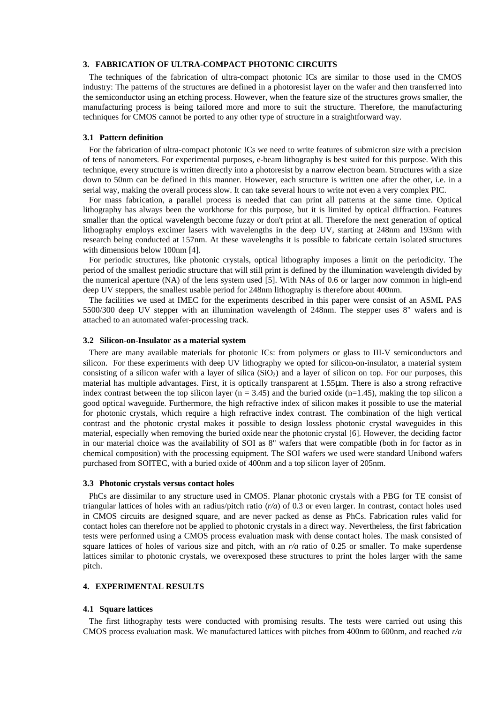# **3. FABRICATION OF ULTRA-COMPACT PHOTONIC CIRCUITS**

The techniques of the fabrication of ultra-compact photonic ICs are similar to those used in the CMOS industry: The patterns of the structures are defined in a photoresist layer on the wafer and then transferred into the semiconductor using an etching process. However, when the feature size of the structures grows smaller, the manufacturing process is being tailored more and more to suit the structure. Therefore, the manufacturing techniques for CMOS cannot be ported to any other type of structure in a straightforward way.

#### **3.1 Pattern definition**

For the fabrication of ultra-compact photonic ICs we need to write features of submicron size with a precision of tens of nanometers. For experimental purposes, e-beam lithography is best suited for this purpose. With this technique, every structure is written directly into a photoresist by a narrow electron beam. Structures with a size down to 50nm can be defined in this manner. However, each structure is written one after the other, i.e. in a serial way, making the overall process slow. It can take several hours to write not even a very complex PIC.

For mass fabrication, a parallel process is needed that can print all patterns at the same time. Optical lithography has always been the workhorse for this purpose, but it is limited by optical diffraction. Features smaller than the optical wavelength become fuzzy or don't print at all. Therefore the next generation of optical lithography employs excimer lasers with wavelengths in the deep UV, starting at 248nm and 193nm with research being conducted at 157nm. At these wavelengths it is possible to fabricate certain isolated structures with dimensions below 100nm [4].

For periodic structures, like photonic crystals, optical lithography imposes a limit on the periodicity. The period of the smallest periodic structure that will still print is defined by the illumination wavelength divided by the numerical aperture (NA) of the lens system used [5]. With NAs of 0.6 or larger now common in high-end deep UV steppers, the smallest usable period for 248nm lithography is therefore about 400nm.

The facilities we used at IMEC for the experiments described in this paper were consist of an ASML PAS 5500/300 deep UV stepper with an illumination wavelength of 248nm. The stepper uses 8" wafers and is attached to an automated wafer-processing track.

#### **3.2 Silicon-on-Insulator as a material system**

There are many available materials for photonic ICs: from polymers or glass to III-V semiconductors and silicon. For these experiments with deep UV lithography we opted for silicon-on-insulator, a material system consisting of a silicon wafer with a layer of silica  $(SiO<sub>2</sub>)$  and a layer of silicon on top. For our purposes, this material has multiple advantages. First, it is optically transparent at 1.55μm. There is also a strong refractive index contrast between the top silicon layer ( $n = 3.45$ ) and the buried oxide ( $n = 1.45$ ), making the top silicon a good optical waveguide. Furthermore, the high refractive index of silicon makes it possible to use the material for photonic crystals, which require a high refractive index contrast. The combination of the high vertical contrast and the photonic crystal makes it possible to design lossless photonic crystal waveguides in this material, especially when removing the buried oxide near the photonic crystal [6]. However, the deciding factor in our material choice was the availability of SOI as 8" wafers that were compatible (both in for factor as in chemical composition) with the processing equipment. The SOI wafers we used were standard Unibond wafers purchased from SOITEC, with a buried oxide of 400nm and a top silicon layer of 205nm.

#### **3.3 Photonic crystals versus contact holes**

PhCs are dissimilar to any structure used in CMOS. Planar photonic crystals with a PBG for TE consist of triangular lattices of holes with an radius/pitch ratio (*r/a*) of 0.3 or even larger. In contrast, contact holes used in CMOS circuits are designed square, and are never packed as dense as PhCs. Fabrication rules valid for contact holes can therefore not be applied to photonic crystals in a direct way. Nevertheless, the first fabrication tests were performed using a CMOS process evaluation mask with dense contact holes. The mask consisted of square lattices of holes of various size and pitch, with an *r/a* ratio of 0.25 or smaller. To make superdense lattices similar to photonic crystals, we overexposed these structures to print the holes larger with the same pitch.

## **4. EXPERIMENTAL RESULTS**

#### **4.1 Square lattices**

The first lithography tests were conducted with promising results. The tests were carried out using this CMOS process evaluation mask. We manufactured lattices with pitches from 400nm to 600nm, and reached *r/a*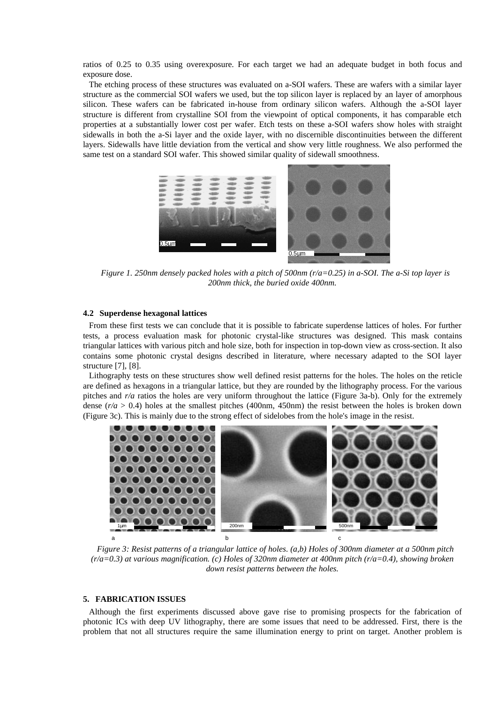ratios of 0.25 to 0.35 using overexposure. For each target we had an adequate budget in both focus and exposure dose.

The etching process of these structures was evaluated on a-SOI wafers. These are wafers with a similar layer structure as the commercial SOI wafers we used, but the top silicon layer is replaced by an layer of amorphous silicon. These wafers can be fabricated in-house from ordinary silicon wafers. Although the a-SOI layer structure is different from crystalline SOI from the viewpoint of optical components, it has comparable etch properties at a substantially lower cost per wafer. Etch tests on these a-SOI wafers show holes with straight sidewalls in both the a-Si layer and the oxide layer, with no discernible discontinuities between the different layers. Sidewalls have little deviation from the vertical and show very little roughness. We also performed the same test on a standard SOI wafer. This showed similar quality of sidewall smoothness.



(a) (b) *Figure 1. 250nm densely packed holes with a pitch of 500nm (r/a=0.25) in a-SOI. The a-Si top layer is 200nm thick, the buried oxide 400nm.*

## **4.2 Superdense hexagonal lattices**

From these first tests we can conclude that it is possible to fabricate superdense lattices of holes. For further tests, a process evaluation mask for photonic crystal-like structures was designed. This mask contains triangular lattices with various pitch and hole size, both for inspection in top-down view as cross-section. It also contains some photonic crystal designs described in literature, where necessary adapted to the SOI layer structure [7], [8].

Lithography tests on these structures show well defined resist patterns for the holes. The holes on the reticle are defined as hexagons in a triangular lattice, but they are rounded by the lithography process. For the various pitches and *r/a* ratios the holes are very uniform throughout the lattice (Figure 3a-b). Only for the extremely dense (*r/a* > 0.4) holes at the smallest pitches (400nm, 450nm) the resist between the holes is broken down (Figure 3c). This is mainly due to the strong effect of sidelobes from the hole's image in the resist.



*Figure 3: Resist patterns of a triangular lattice of holes. (a,b) Holes of 300nm diameter at a 500nm pitch (r/a=0.3) at various magnification. (c) Holes of 320nm diameter at 400nm pitch (r/a=0.4), showing broken down resist patterns between the holes.*

## **5. FABRICATION ISSUES**

Although the first experiments discussed above gave rise to promising prospects for the fabrication of photonic ICs with deep UV lithography, there are some issues that need to be addressed. First, there is the problem that not all structures require the same illumination energy to print on target. Another problem is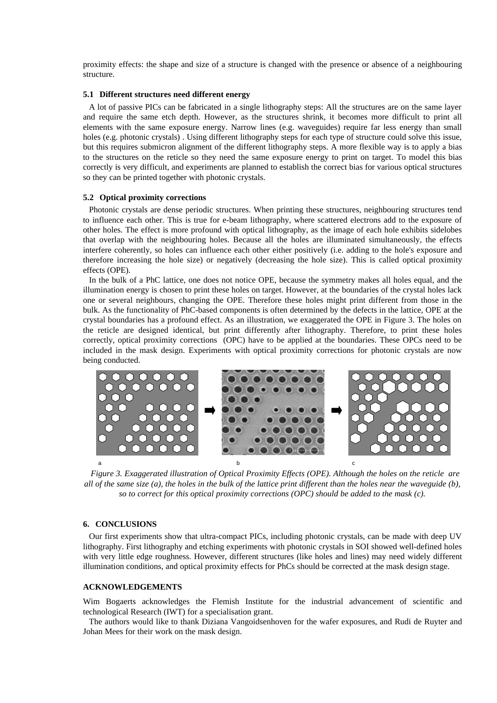proximity effects: the shape and size of a structure is changed with the presence or absence of a neighbouring structure.

## **5.1 Different structures need different energy**

A lot of passive PICs can be fabricated in a single lithography steps: All the structures are on the same layer and require the same etch depth. However, as the structures shrink, it becomes more difficult to print all elements with the same exposure energy. Narrow lines (e.g. waveguides) require far less energy than small holes (e.g. photonic crystals) . Using different lithography steps for each type of structure could solve this issue, but this requires submicron alignment of the different lithography steps. A more flexible way is to apply a bias to the structures on the reticle so they need the same exposure energy to print on target. To model this bias correctly is very difficult, and experiments are planned to establish the correct bias for various optical structures so they can be printed together with photonic crystals.

## **5.2 Optical proximity corrections**

Photonic crystals are dense periodic structures. When printing these structures, neighbouring structures tend to influence each other. This is true for e-beam lithography, where scattered electrons add to the exposure of other holes. The effect is more profound with optical lithography, as the image of each hole exhibits sidelobes that overlap with the neighbouring holes. Because all the holes are illuminated simultaneously, the effects interfere coherently, so holes can influence each other either positively (i.e. adding to the hole's exposure and therefore increasing the hole size) or negatively (decreasing the hole size). This is called optical proximity effects (OPE).

In the bulk of a PhC lattice, one does not notice OPE, because the symmetry makes all holes equal, and the illumination energy is chosen to print these holes on target. However, at the boundaries of the crystal holes lack one or several neighbours, changing the OPE. Therefore these holes might print different from those in the bulk. As the functionality of PhC-based components is often determined by the defects in the lattice, OPE at the crystal boundaries has a profound effect. As an illustration, we exaggerated the OPE in Figure 3. The holes on the reticle are designed identical, but print differently after lithography. Therefore, to print these holes correctly, optical proximity corrections (OPC) have to be applied at the boundaries. These OPCs need to be included in the mask design. Experiments with optical proximity corrections for photonic crystals are now being conducted.



*Figure 3. Exaggerated illustration of Optical Proximity Effects (OPE). Although the holes on the reticle are all of the same size (a), the holes in the bulk of the lattice print different than the holes near the waveguide (b), so to correct for this optical proximity corrections (OPC) should be added to the mask (c).*

## **6. CONCLUSIONS**

Our first experiments show that ultra-compact PICs, including photonic crystals, can be made with deep UV lithography. First lithography and etching experiments with photonic crystals in SOI showed well-defined holes with very little edge roughness. However, different structures (like holes and lines) may need widely different illumination conditions, and optical proximity effects for PhCs should be corrected at the mask design stage.

## **ACKNOWLEDGEMENTS**

Wim Bogaerts acknowledges the Flemish Institute for the industrial advancement of scientific and technological Research (IWT) for a specialisation grant.

The authors would like to thank Diziana Vangoidsenhoven for the wafer exposures, and Rudi de Ruyter and Johan Mees for their work on the mask design.